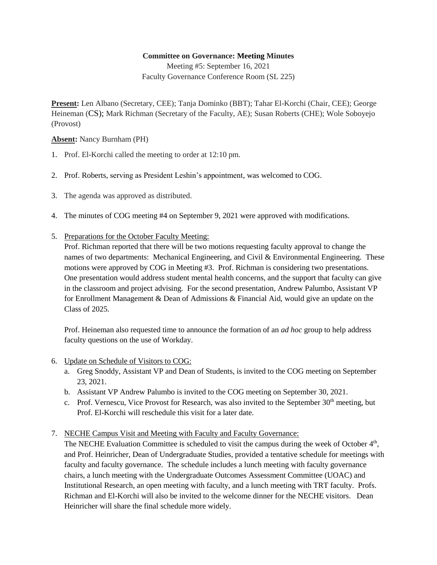## **Committee on Governance: Meeting Minutes**

Meeting #5: September 16, 2021 Faculty Governance Conference Room (SL 225)

**Present:** Len Albano (Secretary, CEE); Tanja Dominko (BBT); Tahar El-Korchi (Chair, CEE); George Heineman (CS); Mark Richman (Secretary of the Faculty, AE); Susan Roberts (CHE); Wole Soboyejo (Provost)

**Absent:** Nancy Burnham (PH)

- 1. Prof. El-Korchi called the meeting to order at 12:10 pm.
- 2. Prof. Roberts, serving as President Leshin's appointment, was welcomed to COG.
- 3. The agenda was approved as distributed.
- 4. The minutes of COG meeting #4 on September 9, 2021 were approved with modifications.
- 5. Preparations for the October Faculty Meeting:

Prof. Richman reported that there will be two motions requesting faculty approval to change the names of two departments: Mechanical Engineering, and Civil & Environmental Engineering. These motions were approved by COG in Meeting #3. Prof. Richman is considering two presentations. One presentation would address student mental health concerns, and the support that faculty can give in the classroom and project advising. For the second presentation, Andrew Palumbo, Assistant VP for Enrollment Management & Dean of Admissions & Financial Aid, would give an update on the Class of 2025.

Prof. Heineman also requested time to announce the formation of an *ad hoc* group to help address faculty questions on the use of Workday.

- 6. Update on Schedule of Visitors to COG:
	- a. Greg Snoddy, Assistant VP and Dean of Students, is invited to the COG meeting on September 23, 2021.
	- b. Assistant VP Andrew Palumbo is invited to the COG meeting on September 30, 2021.
	- c. Prof. Vernescu, Vice Provost for Research, was also invited to the September  $30<sup>th</sup>$  meeting, but Prof. El-Korchi will reschedule this visit for a later date.
- 7. NECHE Campus Visit and Meeting with Faculty and Faculty Governance:

The NECHE Evaluation Committee is scheduled to visit the campus during the week of October 4<sup>th</sup>, and Prof. Heinricher, Dean of Undergraduate Studies, provided a tentative schedule for meetings with faculty and faculty governance. The schedule includes a lunch meeting with faculty governance chairs, a lunch meeting with the Undergraduate Outcomes Assessment Committee (UOAC) and Institutional Research, an open meeting with faculty, and a lunch meeting with TRT faculty. Profs. Richman and El-Korchi will also be invited to the welcome dinner for the NECHE visitors. Dean Heinricher will share the final schedule more widely.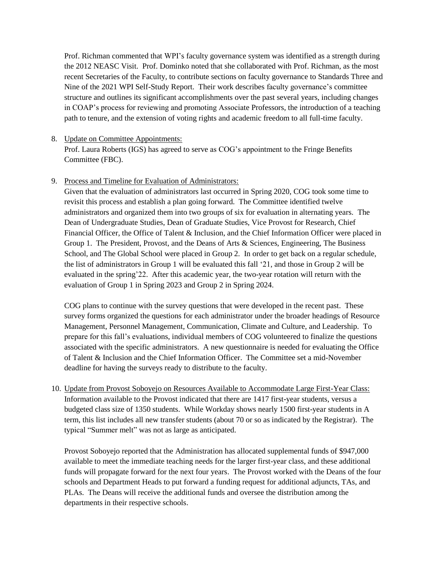Prof. Richman commented that WPI's faculty governance system was identified as a strength during the 2012 NEASC Visit. Prof. Dominko noted that she collaborated with Prof. Richman, as the most recent Secretaries of the Faculty, to contribute sections on faculty governance to Standards Three and Nine of the 2021 WPI Self-Study Report. Their work describes faculty governance's committee structure and outlines its significant accomplishments over the past several years, including changes in COAP's process for reviewing and promoting Associate Professors, the introduction of a teaching path to tenure, and the extension of voting rights and academic freedom to all full-time faculty.

## 8. Update on Committee Appointments:

Prof. Laura Roberts (IGS) has agreed to serve as COG's appointment to the Fringe Benefits Committee (FBC).

## 9. Process and Timeline for Evaluation of Administrators:

Given that the evaluation of administrators last occurred in Spring 2020, COG took some time to revisit this process and establish a plan going forward. The Committee identified twelve administrators and organized them into two groups of six for evaluation in alternating years. The Dean of Undergraduate Studies, Dean of Graduate Studies, Vice Provost for Research, Chief Financial Officer, the Office of Talent & Inclusion, and the Chief Information Officer were placed in Group 1. The President, Provost, and the Deans of Arts & Sciences, Engineering, The Business School, and The Global School were placed in Group 2. In order to get back on a regular schedule, the list of administrators in Group 1 will be evaluated this fall '21, and those in Group 2 will be evaluated in the spring'22. After this academic year, the two-year rotation will return with the evaluation of Group 1 in Spring 2023 and Group 2 in Spring 2024.

COG plans to continue with the survey questions that were developed in the recent past. These survey forms organized the questions for each administrator under the broader headings of Resource Management, Personnel Management, Communication, Climate and Culture, and Leadership. To prepare for this fall's evaluations, individual members of COG volunteered to finalize the questions associated with the specific administrators. A new questionnaire is needed for evaluating the Office of Talent & Inclusion and the Chief Information Officer. The Committee set a mid-November deadline for having the surveys ready to distribute to the faculty.

10. Update from Provost Soboyejo on Resources Available to Accommodate Large First-Year Class: Information available to the Provost indicated that there are 1417 first-year students, versus a budgeted class size of 1350 students. While Workday shows nearly 1500 first-year students in A term, this list includes all new transfer students (about 70 or so as indicated by the Registrar). The typical "Summer melt" was not as large as anticipated.

Provost Soboyejo reported that the Administration has allocated supplemental funds of \$947,000 available to meet the immediate teaching needs for the larger first-year class, and these additional funds will propagate forward for the next four years. The Provost worked with the Deans of the four schools and Department Heads to put forward a funding request for additional adjuncts, TAs, and PLAs. The Deans will receive the additional funds and oversee the distribution among the departments in their respective schools.